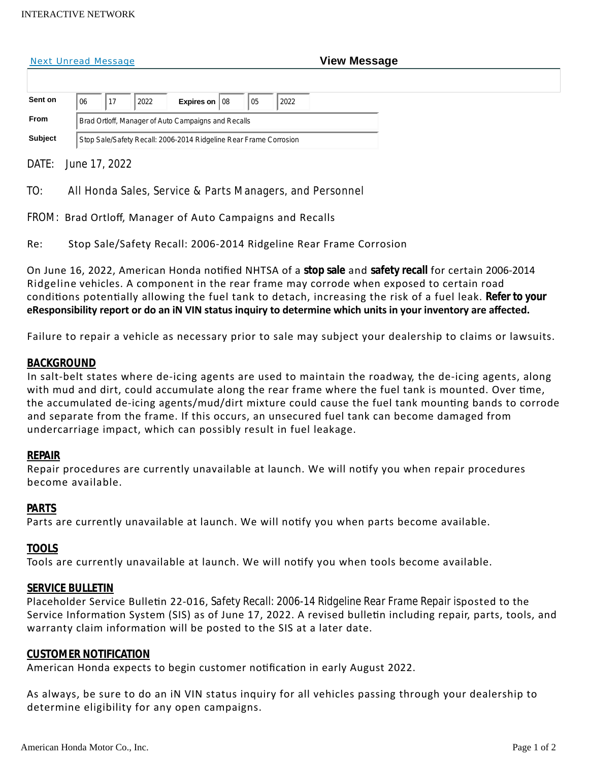#### INTERACTIVE NETWORK

#### **Next Unread Message**

| <b>View Message</b> |
|---------------------|
|---------------------|

| Sent on        | Expires on $ 08$<br>05<br>2022<br>2022<br>06                      |
|----------------|-------------------------------------------------------------------|
| <b>From</b>    | Brad Ortloff, Manager of Auto Campaigns and Recalls               |
| <b>Subject</b> | Stop Sale/Safety Recall: 2006-2014 Ridgeline Rear Frame Corrosion |

DATE: June 17, 2022

TO: All Honda Sales, Service & Parts Managers, and Personnel

FROM: Brad Ortloff, Manager of Auto Campaigns and Recalls

Re: Stop Sale/Safety Recall: 2006-2014 Ridgeline Rear Frame Corrosion

On June 16, 2022, American Honda noƟfied NHTSA of a **stop sale** and **safety recall** for certain 2006-2014 Ridgeline vehicles. A component in the rear frame may corrode when exposed to certain road condiƟons potenƟally allowing the fuel tank to detach, increasing the risk of a fuel leak. **Refer to your eResponsibility report or do an iN VIN status inquiry to determine which units in your inventory are affected.**

Failure to repair a vehicle as necessary prior to sale may subject your dealership to claims or lawsuits.

# **BACKGROUND**

In salt-belt states where de-icing agents are used to maintain the roadway, the de-icing agents, along with mud and dirt, could accumulate along the rear frame where the fuel tank is mounted. Over time, the accumulated de-icing agents/mud/dirt mixture could cause the fuel tank mounting bands to corrode and separate from the frame. If this occurs, an unsecured fuel tank can become damaged from undercarriage impact, which can possibly result in fuel leakage.

## **REPAIR**

Repair procedures are currently unavailable at launch. We will notify you when repair procedures become available.

## **PARTS**

Parts are currently unavailable at launch. We will notify you when parts become available.

## **TOOLS**

Tools are currently unavailable at launch. We will notify you when tools become available.

## **SERVICE BULLETIN**

Placeholder Service Bulletin 22-016, *Safety Recall: 2006-14 Ridgeline Rear Frame Repair isposted to the* Service Information System (SIS) as of June 17, 2022. A revised bulletin including repair, parts, tools, and warranty claim information will be posted to the SIS at a later date.

## **CUSTOMER NOTIFICATION**

American Honda expects to begin customer notification in early August 2022.

As always, be sure to do an iN VIN status inquiry for all vehicles passing through your dealership to determine eligibility for any open campaigns.